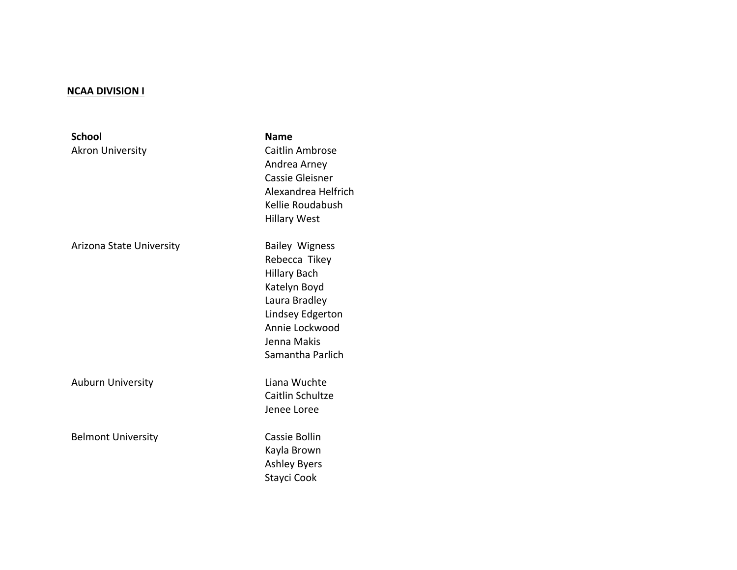## **NCAA DIVISION I**

| <b>School</b><br><b>Akron University</b> | <b>Name</b><br>Caitlin Ambrose<br>Andrea Arney<br><b>Cassie Gleisner</b><br>Alexandrea Helfrich<br>Kellie Roudabush<br><b>Hillary West</b>                              |
|------------------------------------------|-------------------------------------------------------------------------------------------------------------------------------------------------------------------------|
| Arizona State University                 | <b>Bailey Wigness</b><br>Rebecca Tikey<br><b>Hillary Bach</b><br>Katelyn Boyd<br>Laura Bradley<br>Lindsey Edgerton<br>Annie Lockwood<br>Jenna Makis<br>Samantha Parlich |
| <b>Auburn University</b>                 | Liana Wuchte<br>Caitlin Schultze<br>Jenee Loree                                                                                                                         |
| <b>Belmont University</b>                | Cassie Bollin<br>Kayla Brown<br><b>Ashley Byers</b><br>Stayci Cook                                                                                                      |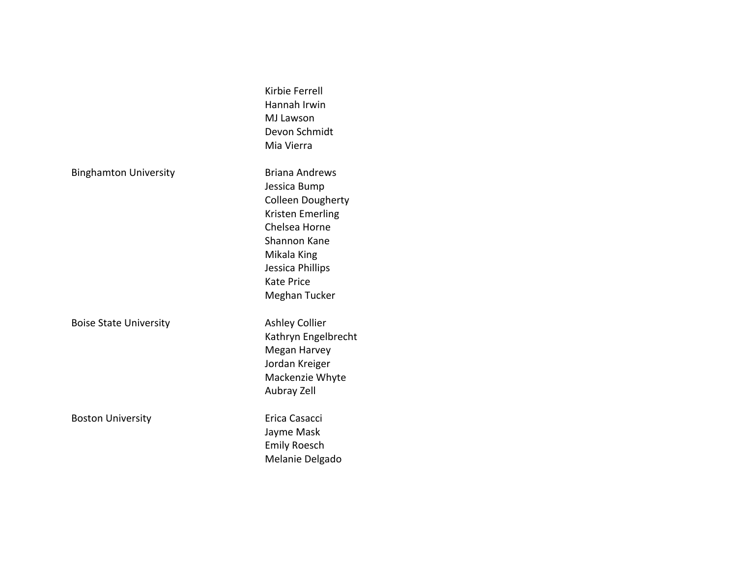|                               | Kirbie Ferrell<br>Hannah Irwin<br><b>MJ Lawson</b><br>Devon Schmidt<br>Mia Vierra                                                                                                        |
|-------------------------------|------------------------------------------------------------------------------------------------------------------------------------------------------------------------------------------|
| <b>Binghamton University</b>  | <b>Briana Andrews</b><br>Jessica Bump<br><b>Colleen Dougherty</b><br>Kristen Emerling<br>Chelsea Horne<br>Shannon Kane<br>Mikala King<br>Jessica Phillips<br>Kate Price<br>Meghan Tucker |
| <b>Boise State University</b> | <b>Ashley Collier</b><br>Kathryn Engelbrecht<br>Megan Harvey<br>Jordan Kreiger<br>Mackenzie Whyte<br>Aubray Zell                                                                         |
| <b>Boston University</b>      | Erica Casacci<br>Jayme Mask<br><b>Emily Roesch</b><br>Melanie Delgado                                                                                                                    |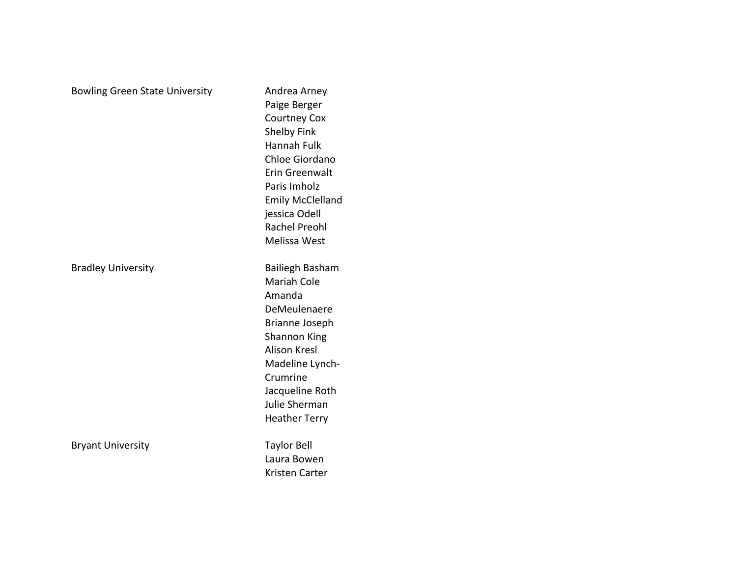| <b>Bowling Green State University</b> | Andrea Arney<br>Paige Berger<br><b>Courtney Cox</b><br>Shelby Fink<br>Hannah Fulk<br>Chloe Giordano<br><b>Erin Greenwalt</b><br>Paris Imholz<br><b>Emily McClelland</b><br>jessica Odell<br><b>Rachel Preohl</b><br>Melissa West |
|---------------------------------------|----------------------------------------------------------------------------------------------------------------------------------------------------------------------------------------------------------------------------------|
| <b>Bradley University</b>             | <b>Bailiegh Basham</b><br><b>Mariah Cole</b><br>Amanda<br>DeMeulenaere<br>Brianne Joseph<br>Shannon King<br><b>Alison Kresl</b><br>Madeline Lynch-<br>Crumrine<br>Jacqueline Roth<br>Julie Sherman<br><b>Heather Terry</b>       |
| <b>Bryant University</b>              | <b>Taylor Bell</b><br>Laura Bowen<br>Kristen Carter                                                                                                                                                                              |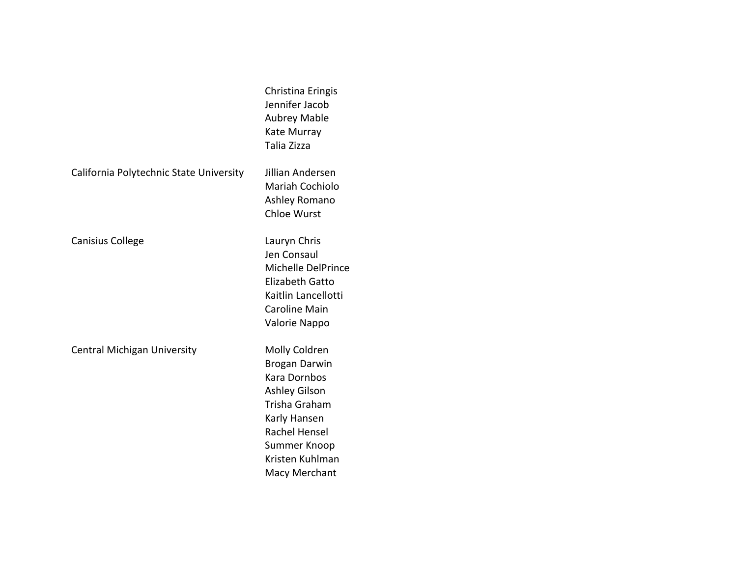|                                         | Christina Eringis<br>Jennifer Jacob<br><b>Aubrey Mable</b><br>Kate Murray<br>Talia Zizza                                                                                                          |
|-----------------------------------------|---------------------------------------------------------------------------------------------------------------------------------------------------------------------------------------------------|
| California Polytechnic State University | Jillian Andersen<br>Mariah Cochiolo<br>Ashley Romano<br><b>Chloe Wurst</b>                                                                                                                        |
| <b>Canisius College</b>                 | Lauryn Chris<br>Jen Consaul<br>Michelle DelPrince<br><b>Elizabeth Gatto</b><br>Kaitlin Lancellotti<br><b>Caroline Main</b><br>Valorie Nappo                                                       |
| <b>Central Michigan University</b>      | Molly Coldren<br><b>Brogan Darwin</b><br><b>Kara Dornbos</b><br><b>Ashley Gilson</b><br>Trisha Graham<br>Karly Hansen<br><b>Rachel Hensel</b><br>Summer Knoop<br>Kristen Kuhlman<br>Macy Merchant |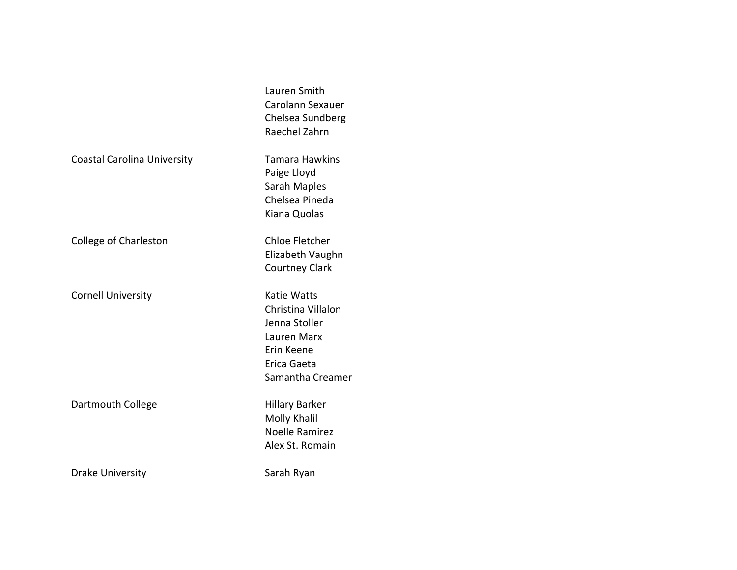|                                    | Lauren Smith          |  |
|------------------------------------|-----------------------|--|
|                                    | Carolann Sexauer      |  |
|                                    | Chelsea Sundberg      |  |
|                                    | Raechel Zahrn         |  |
|                                    |                       |  |
| <b>Coastal Carolina University</b> | Tamara Hawkins        |  |
|                                    | Paige Lloyd           |  |
|                                    | Sarah Maples          |  |
|                                    | Chelsea Pineda        |  |
|                                    | Kiana Quolas          |  |
|                                    |                       |  |
| College of Charleston              | Chloe Fletcher        |  |
|                                    | Elizabeth Vaughn      |  |
|                                    | <b>Courtney Clark</b> |  |
|                                    |                       |  |
| <b>Cornell University</b>          | Katie Watts           |  |
|                                    | Christina Villalon    |  |
|                                    | Jenna Stoller         |  |
|                                    | Lauren Marx           |  |
|                                    | Erin Keene            |  |
|                                    | Erica Gaeta           |  |
|                                    | Samantha Creamer      |  |
|                                    |                       |  |
| Dartmouth College                  | <b>Hillary Barker</b> |  |
|                                    | Molly Khalil          |  |
|                                    | Noelle Ramirez        |  |
|                                    |                       |  |
|                                    | Alex St. Romain       |  |
| Drake University                   | Sarah Ryan            |  |
|                                    |                       |  |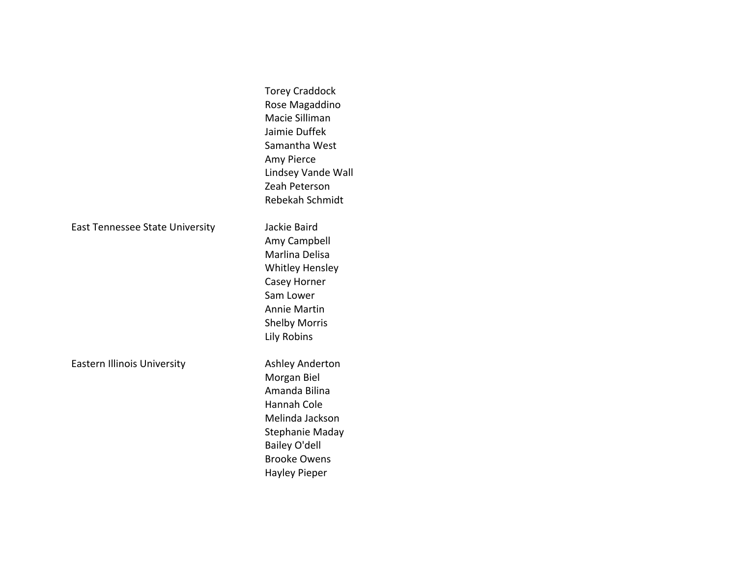|                                    | <b>Torey Craddock</b><br>Rose Magaddino<br>Macie Silliman<br>Jaimie Duffek<br>Samantha West<br>Amy Pierce<br>Lindsey Vande Wall<br>Zeah Peterson<br>Rebekah Schmidt                       |
|------------------------------------|-------------------------------------------------------------------------------------------------------------------------------------------------------------------------------------------|
| East Tennessee State University    | Jackie Baird<br>Amy Campbell<br>Marlina Delisa<br><b>Whitley Hensley</b><br>Casey Horner<br>Sam Lower<br><b>Annie Martin</b><br><b>Shelby Morris</b><br>Lily Robins                       |
| <b>Eastern Illinois University</b> | <b>Ashley Anderton</b><br>Morgan Biel<br>Amanda Bilina<br><b>Hannah Cole</b><br>Melinda Jackson<br>Stephanie Maday<br><b>Bailey O'dell</b><br><b>Brooke Owens</b><br><b>Hayley Pieper</b> |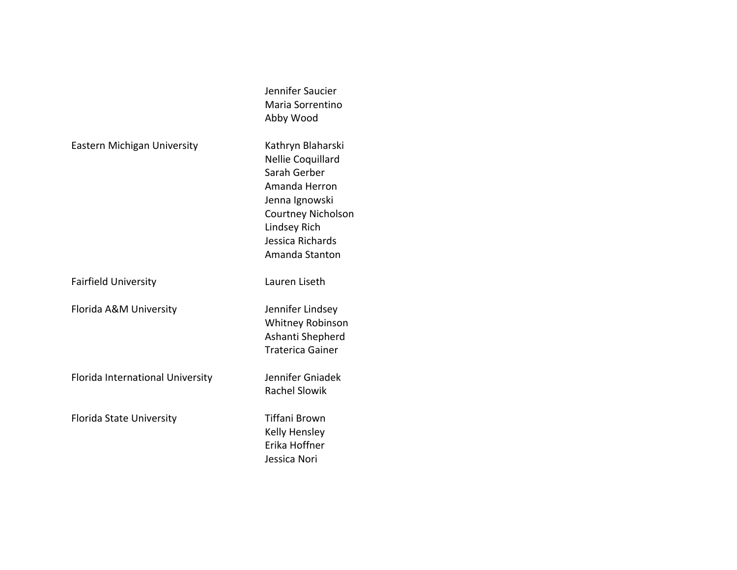|                                  | Jennifer Saucier<br>Maria Sorrentino<br>Abby Wood                                                                                                                            |
|----------------------------------|------------------------------------------------------------------------------------------------------------------------------------------------------------------------------|
| Eastern Michigan University      | Kathryn Blaharski<br>Nellie Coquillard<br>Sarah Gerber<br>Amanda Herron<br>Jenna Ignowski<br><b>Courtney Nicholson</b><br>Lindsey Rich<br>Jessica Richards<br>Amanda Stanton |
| <b>Fairfield University</b>      | Lauren Liseth                                                                                                                                                                |
| Florida A&M University           | Jennifer Lindsey<br><b>Whitney Robinson</b><br>Ashanti Shepherd<br><b>Traterica Gainer</b>                                                                                   |
| Florida International University | Jennifer Gniadek<br><b>Rachel Slowik</b>                                                                                                                                     |
| <b>Florida State University</b>  | Tiffani Brown<br><b>Kelly Hensley</b><br>Erika Hoffner<br>Jessica Nori                                                                                                       |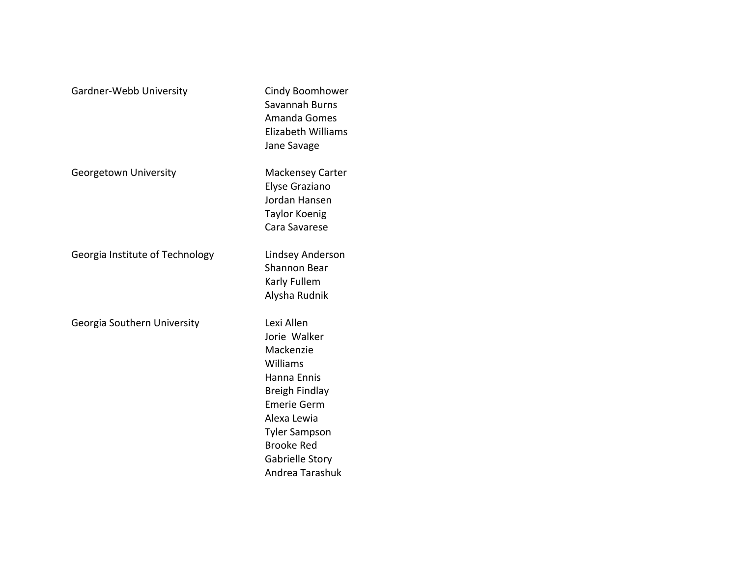| Gardner-Webb University         | Cindy Boomhower<br>Savannah Burns<br>Amanda Gomes<br><b>Elizabeth Williams</b><br>Jane Savage                                                                                                                       |
|---------------------------------|---------------------------------------------------------------------------------------------------------------------------------------------------------------------------------------------------------------------|
| Georgetown University           | <b>Mackensey Carter</b><br>Elyse Graziano<br>Jordan Hansen<br><b>Taylor Koenig</b><br>Cara Savarese                                                                                                                 |
| Georgia Institute of Technology | Lindsey Anderson<br><b>Shannon Bear</b><br>Karly Fullem<br>Alysha Rudnik                                                                                                                                            |
| Georgia Southern University     | Lexi Allen<br>Jorie Walker<br>Mackenzie<br>Williams<br>Hanna Ennis<br><b>Breigh Findlay</b><br><b>Emerie Germ</b><br>Alexa Lewia<br><b>Tyler Sampson</b><br><b>Brooke Red</b><br>Gabrielle Story<br>Andrea Tarashuk |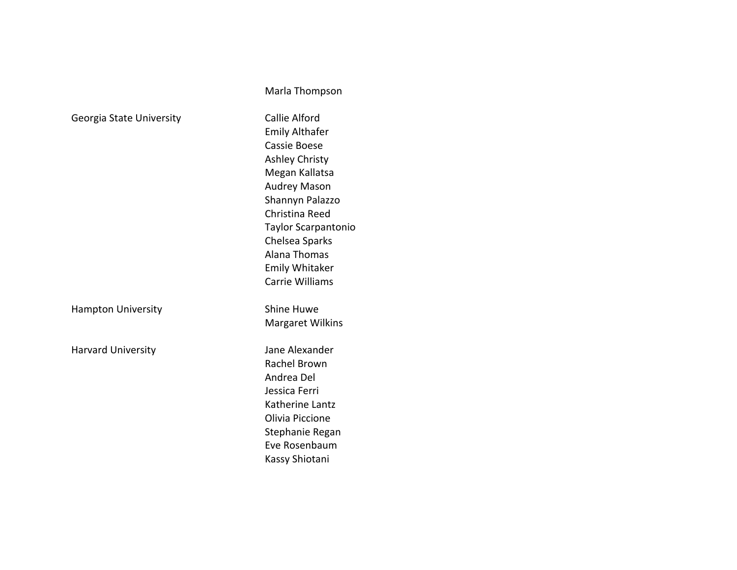|                           | Marla Thompson                                                                                                                                                                                                                       |
|---------------------------|--------------------------------------------------------------------------------------------------------------------------------------------------------------------------------------------------------------------------------------|
| Georgia State University  | <b>Callie Alford</b><br><b>Emily Althafer</b><br>Cassie Boese<br><b>Ashley Christy</b><br>Megan Kallatsa<br><b>Audrey Mason</b><br>Shannyn Palazzo<br>Christina Reed<br><b>Taylor Scarpantonio</b><br>Chelsea Sparks<br>Alana Thomas |
|                           | <b>Emily Whitaker</b><br><b>Carrie Williams</b>                                                                                                                                                                                      |
| <b>Hampton University</b> | <b>Shine Huwe</b><br><b>Margaret Wilkins</b>                                                                                                                                                                                         |
| <b>Harvard University</b> | Jane Alexander<br>Rachel Brown<br>Andrea Del<br>Jessica Ferri<br>Katherine Lantz<br>Olivia Piccione<br>Stephanie Regan<br>Eve Rosenbaum<br>Kassy Shiotani                                                                            |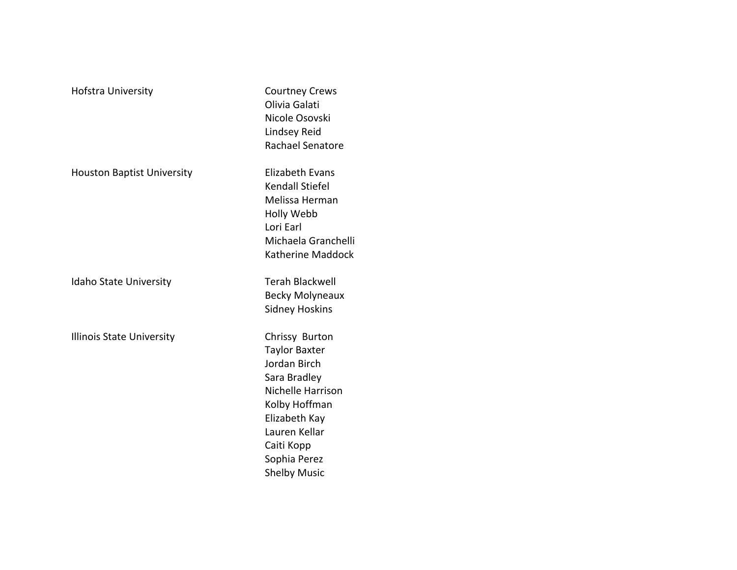| Hofstra University                | <b>Courtney Crews</b><br>Olivia Galati<br>Nicole Osovski<br>Lindsey Reid<br>Rachael Senatore                                                                                                        |
|-----------------------------------|-----------------------------------------------------------------------------------------------------------------------------------------------------------------------------------------------------|
| <b>Houston Baptist University</b> | <b>Elizabeth Evans</b><br><b>Kendall Stiefel</b><br>Melissa Herman<br>Holly Webb<br>Lori Earl<br>Michaela Granchelli<br>Katherine Maddock                                                           |
| <b>Idaho State University</b>     | <b>Terah Blackwell</b><br><b>Becky Molyneaux</b><br>Sidney Hoskins                                                                                                                                  |
| Illinois State University         | Chrissy Burton<br><b>Taylor Baxter</b><br>Jordan Birch<br>Sara Bradley<br>Nichelle Harrison<br>Kolby Hoffman<br>Elizabeth Kay<br>Lauren Kellar<br>Caiti Kopp<br>Sophia Perez<br><b>Shelby Music</b> |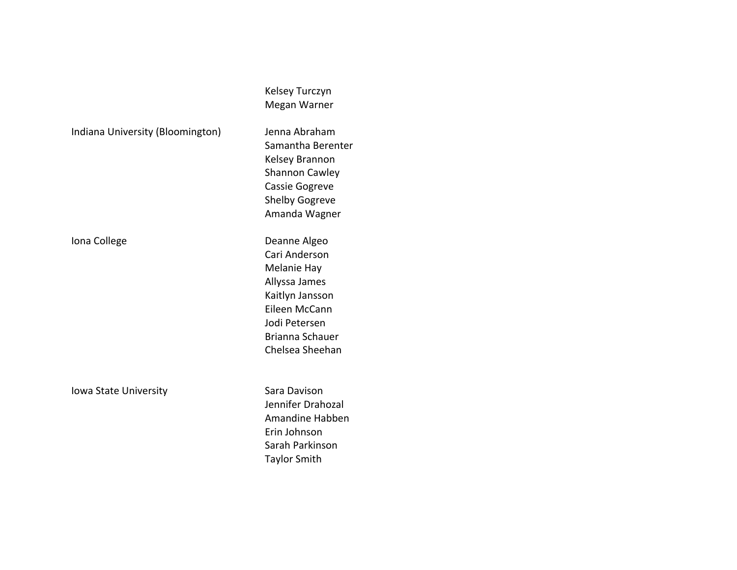|                                  | Kelsey Turczyn<br>Megan Warner                                                                                                                           |
|----------------------------------|----------------------------------------------------------------------------------------------------------------------------------------------------------|
| Indiana University (Bloomington) | Jenna Abraham<br>Samantha Berenter<br>Kelsey Brannon<br><b>Shannon Cawley</b><br>Cassie Gogreve<br><b>Shelby Gogreve</b><br>Amanda Wagner                |
| Iona College                     | Deanne Algeo<br>Cari Anderson<br>Melanie Hay<br>Allyssa James<br>Kaitlyn Jansson<br>Eileen McCann<br>Jodi Petersen<br>Brianna Schauer<br>Chelsea Sheehan |
| <b>Iowa State University</b>     | Sara Davison<br>Jennifer Drahozal<br>Amandine Habben<br>Erin Johnson<br>Sarah Parkinson<br><b>Taylor Smith</b>                                           |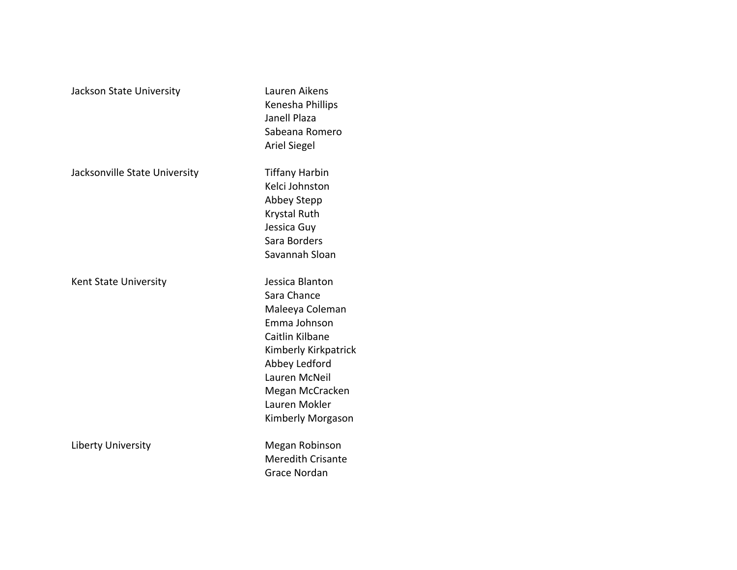| Jackson State University      | Lauren Aikens<br>Kenesha Phillips<br>Janell Plaza<br>Sabeana Romero<br><b>Ariel Siegel</b>                                                                                                              |
|-------------------------------|---------------------------------------------------------------------------------------------------------------------------------------------------------------------------------------------------------|
| Jacksonville State University | <b>Tiffany Harbin</b><br>Kelci Johnston<br>Abbey Stepp<br>Krystal Ruth<br>Jessica Guy<br>Sara Borders<br>Savannah Sloan                                                                                 |
| <b>Kent State University</b>  | Jessica Blanton<br>Sara Chance<br>Maleeya Coleman<br>Emma Johnson<br>Caitlin Kilbane<br>Kimberly Kirkpatrick<br>Abbey Ledford<br>Lauren McNeil<br>Megan McCracken<br>Lauren Mokler<br>Kimberly Morgason |
| <b>Liberty University</b>     | Megan Robinson<br><b>Meredith Crisante</b><br><b>Grace Nordan</b>                                                                                                                                       |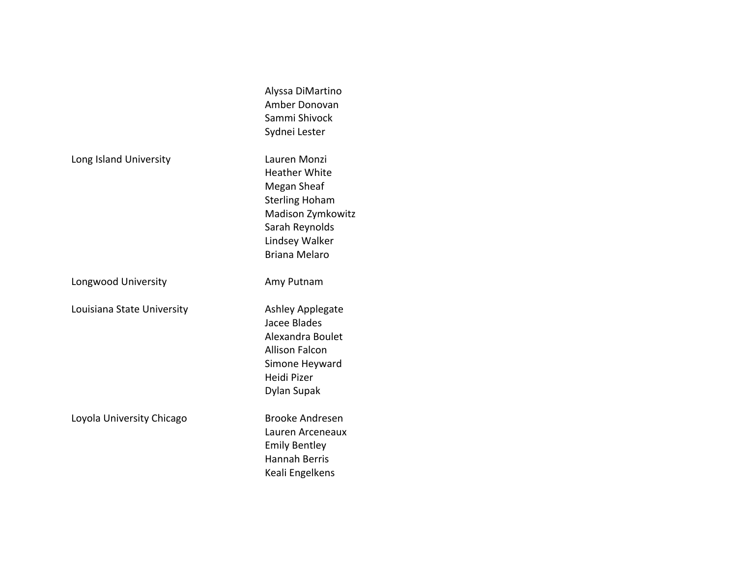|                            | Alyssa DiMartino<br>Amber Donovan<br>Sammi Shivock<br>Sydnei Lester                                                                                           |
|----------------------------|---------------------------------------------------------------------------------------------------------------------------------------------------------------|
| Long Island University     | Lauren Monzi<br><b>Heather White</b><br>Megan Sheaf<br><b>Sterling Hoham</b><br>Madison Zymkowitz<br>Sarah Reynolds<br>Lindsey Walker<br><b>Briana Melaro</b> |
| Longwood University        | Amy Putnam                                                                                                                                                    |
| Louisiana State University | <b>Ashley Applegate</b><br>Jacee Blades<br>Alexandra Boulet<br><b>Allison Falcon</b><br>Simone Heyward<br>Heidi Pizer<br>Dylan Supak                          |
| Loyola University Chicago  | <b>Brooke Andresen</b><br>Lauren Arceneaux<br><b>Emily Bentley</b><br><b>Hannah Berris</b><br>Keali Engelkens                                                 |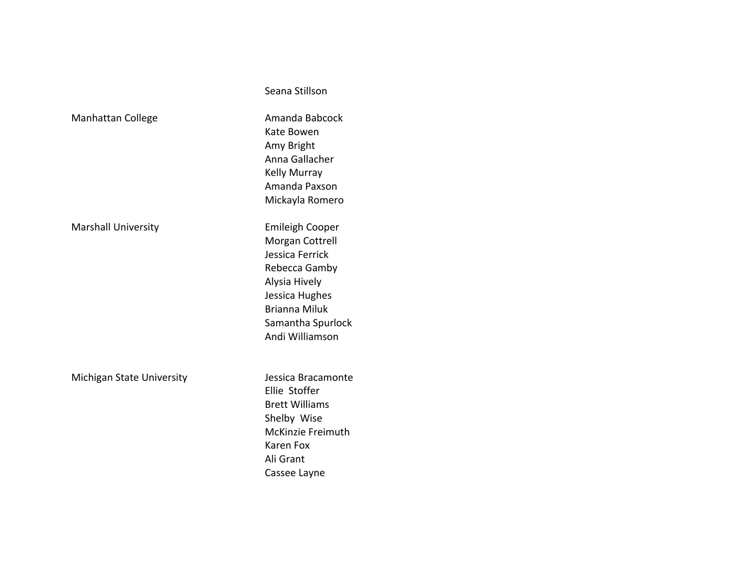|                            | Seana Stillson                                                                                                                                                                   |
|----------------------------|----------------------------------------------------------------------------------------------------------------------------------------------------------------------------------|
| <b>Manhattan College</b>   | Amanda Babcock<br>Kate Bowen<br>Amy Bright<br>Anna Gallacher<br><b>Kelly Murray</b><br>Amanda Paxson<br>Mickayla Romero                                                          |
| <b>Marshall University</b> | <b>Emileigh Cooper</b><br>Morgan Cottrell<br>Jessica Ferrick<br>Rebecca Gamby<br>Alysia Hively<br>Jessica Hughes<br><b>Brianna Miluk</b><br>Samantha Spurlock<br>Andi Williamson |
| Michigan State University  | Jessica Bracamonte<br>Ellie Stoffer<br><b>Brett Williams</b><br>Shelby Wise<br>McKinzie Freimuth<br>Karen Fox<br>Ali Grant<br>Cassee Layne                                       |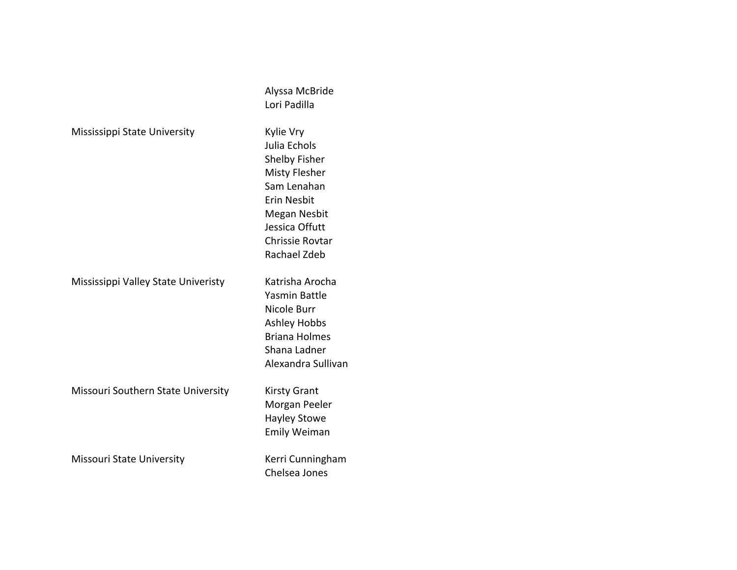|                                     | Alyssa McBride         |
|-------------------------------------|------------------------|
|                                     | Lori Padilla           |
| Mississippi State University        | Kylie Vry              |
|                                     | Julia Echols           |
|                                     | Shelby Fisher          |
|                                     | <b>Misty Flesher</b>   |
|                                     | Sam Lenahan            |
|                                     | Erin Nesbit            |
|                                     | <b>Megan Nesbit</b>    |
|                                     | Jessica Offutt         |
|                                     | <b>Chrissie Rovtar</b> |
|                                     | Rachael Zdeb           |
| Mississippi Valley State Univeristy | Katrisha Arocha        |
|                                     | Yasmin Battle          |
|                                     | Nicole Burr            |
|                                     | <b>Ashley Hobbs</b>    |
|                                     | <b>Briana Holmes</b>   |
|                                     | Shana Ladner           |
|                                     | Alexandra Sullivan     |
| Missouri Southern State University  | <b>Kirsty Grant</b>    |
|                                     | Morgan Peeler          |
|                                     | <b>Hayley Stowe</b>    |
|                                     | <b>Emily Weiman</b>    |
| Missouri State University           | Kerri Cunningham       |
|                                     | Chelsea Jones          |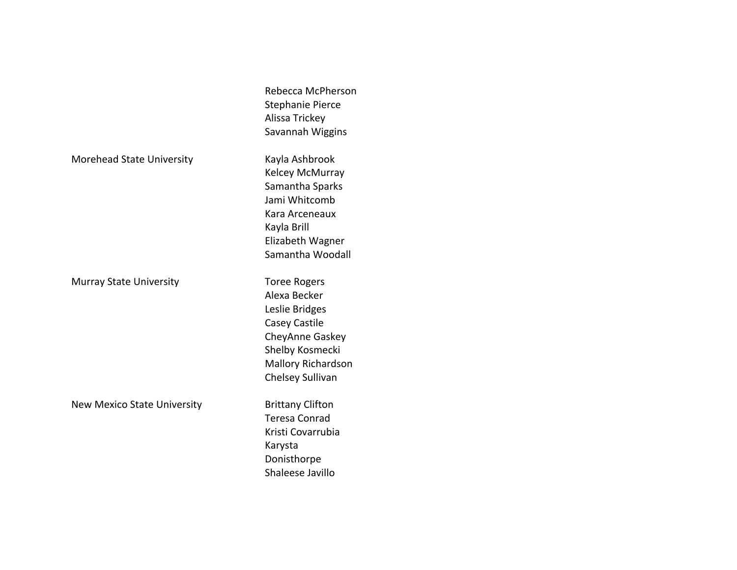|                                    | Rebecca McPherson<br>Stephanie Pierce |
|------------------------------------|---------------------------------------|
|                                    | Alissa Trickey                        |
|                                    | Savannah Wiggins                      |
| Morehead State University          | Kayla Ashbrook                        |
|                                    | Kelcey McMurray                       |
|                                    | Samantha Sparks                       |
|                                    | Jami Whitcomb                         |
|                                    | Kara Arceneaux                        |
|                                    | Kayla Brill                           |
|                                    | Elizabeth Wagner                      |
|                                    | Samantha Woodall                      |
| <b>Murray State University</b>     | <b>Toree Rogers</b>                   |
|                                    | Alexa Becker                          |
|                                    | Leslie Bridges                        |
|                                    | Casey Castile                         |
|                                    | CheyAnne Gaskey                       |
|                                    | Shelby Kosmecki                       |
|                                    | <b>Mallory Richardson</b>             |
|                                    | Chelsey Sullivan                      |
| <b>New Mexico State University</b> | <b>Brittany Clifton</b>               |
|                                    | <b>Teresa Conrad</b>                  |
|                                    |                                       |
|                                    | Kristi Covarrubia                     |
|                                    | Karysta                               |
|                                    | Donisthorpe                           |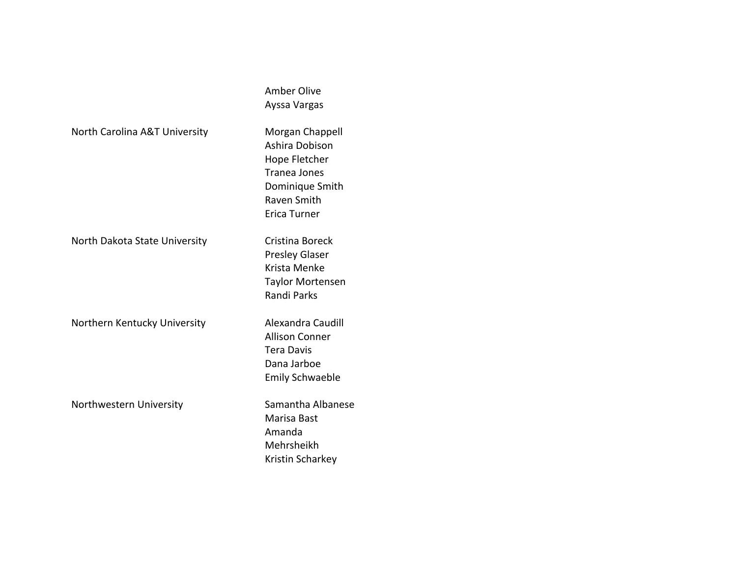|                               | <b>Amber Olive</b><br>Ayssa Vargas                                                                                          |
|-------------------------------|-----------------------------------------------------------------------------------------------------------------------------|
| North Carolina A&T University | Morgan Chappell<br>Ashira Dobison<br>Hope Fletcher<br><b>Tranea Jones</b><br>Dominique Smith<br>Raven Smith<br>Erica Turner |
| North Dakota State University | Cristina Boreck<br><b>Presley Glaser</b><br>Krista Menke<br><b>Taylor Mortensen</b><br><b>Randi Parks</b>                   |
| Northern Kentucky University  | Alexandra Caudill<br><b>Allison Conner</b><br><b>Tera Davis</b><br>Dana Jarboe<br><b>Emily Schwaeble</b>                    |
| Northwestern University       | Samantha Albanese<br>Marisa Bast<br>Amanda<br>Mehrsheikh<br>Kristin Scharkey                                                |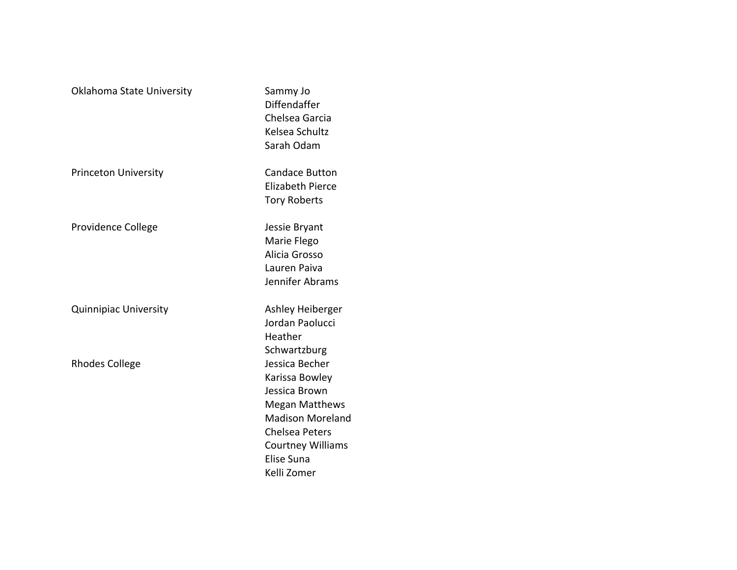| Oklahoma State University    | Sammy Jo<br>Diffendaffer<br>Chelsea Garcia<br>Kelsea Schultz<br>Sarah Odam                                                                                                              |
|------------------------------|-----------------------------------------------------------------------------------------------------------------------------------------------------------------------------------------|
| <b>Princeton University</b>  | Candace Button<br><b>Elizabeth Pierce</b><br><b>Tory Roberts</b>                                                                                                                        |
| Providence College           | Jessie Bryant<br>Marie Flego<br>Alicia Grosso<br>Lauren Paiva<br>Jennifer Abrams                                                                                                        |
| <b>Quinnipiac University</b> | Ashley Heiberger<br>Jordan Paolucci<br>Heather<br>Schwartzburg                                                                                                                          |
| <b>Rhodes College</b>        | Jessica Becher<br>Karissa Bowley<br>Jessica Brown<br><b>Megan Matthews</b><br><b>Madison Moreland</b><br><b>Chelsea Peters</b><br><b>Courtney Williams</b><br>Elise Suna<br>Kelli Zomer |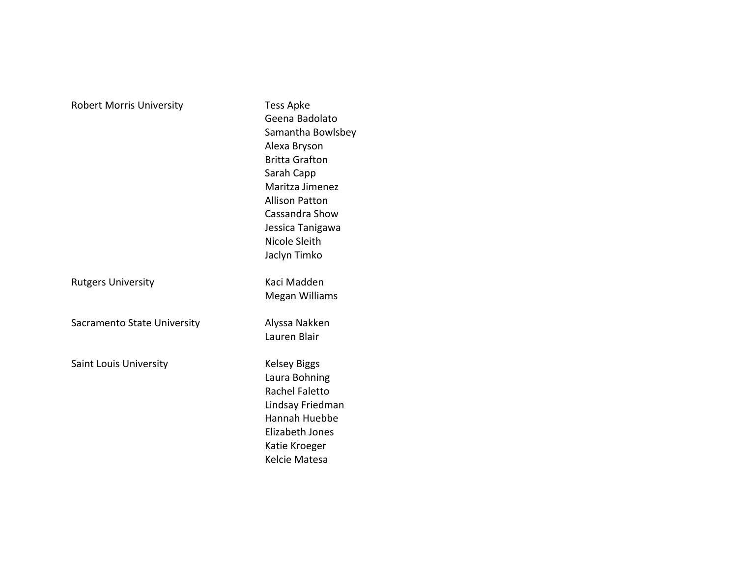| <b>Robert Morris University</b> | <b>Tess Apke</b><br>Geena Badolato<br>Samantha Bowlsbey<br>Alexa Bryson<br><b>Britta Grafton</b><br>Sarah Capp<br>Maritza Jimenez<br><b>Allison Patton</b><br>Cassandra Show<br>Jessica Tanigawa<br>Nicole Sleith<br>Jaclyn Timko |
|---------------------------------|-----------------------------------------------------------------------------------------------------------------------------------------------------------------------------------------------------------------------------------|
| <b>Rutgers University</b>       | Kaci Madden<br>Megan Williams                                                                                                                                                                                                     |
| Sacramento State University     | Alyssa Nakken<br>Lauren Blair                                                                                                                                                                                                     |
| <b>Saint Louis University</b>   | <b>Kelsey Biggs</b><br>Laura Bohning<br><b>Rachel Faletto</b><br>Lindsay Friedman<br>Hannah Huebbe<br>Elizabeth Jones<br>Katie Kroeger<br>Kelcie Matesa                                                                           |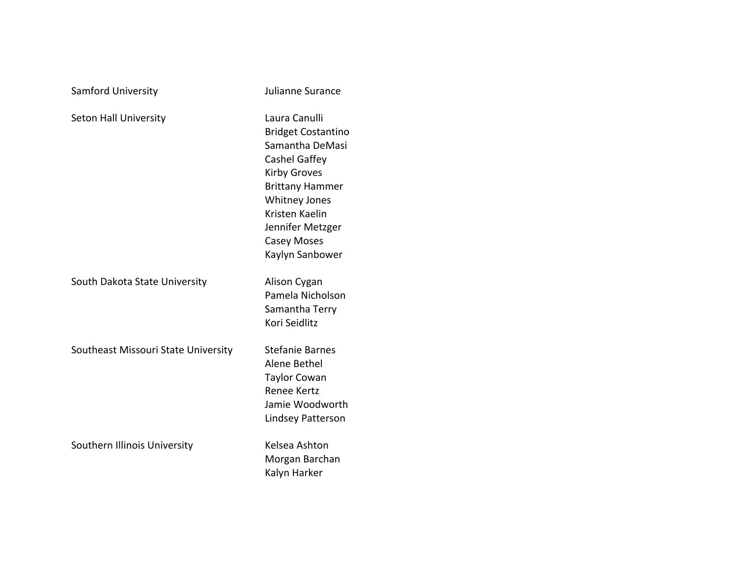| Samford University                  | Julianne Surance                                                                                                                                                                                                                       |
|-------------------------------------|----------------------------------------------------------------------------------------------------------------------------------------------------------------------------------------------------------------------------------------|
| Seton Hall University               | Laura Canulli<br><b>Bridget Costantino</b><br>Samantha DeMasi<br>Cashel Gaffey<br><b>Kirby Groves</b><br><b>Brittany Hammer</b><br><b>Whitney Jones</b><br>Kristen Kaelin<br>Jennifer Metzger<br><b>Casey Moses</b><br>Kaylyn Sanbower |
| South Dakota State University       | Alison Cygan<br>Pamela Nicholson<br>Samantha Terry<br>Kori Seidlitz                                                                                                                                                                    |
| Southeast Missouri State University | <b>Stefanie Barnes</b><br>Alene Bethel<br><b>Taylor Cowan</b><br><b>Renee Kertz</b><br>Jamie Woodworth<br><b>Lindsey Patterson</b>                                                                                                     |
| Southern Illinois University        | Kelsea Ashton<br>Morgan Barchan<br>Kalyn Harker                                                                                                                                                                                        |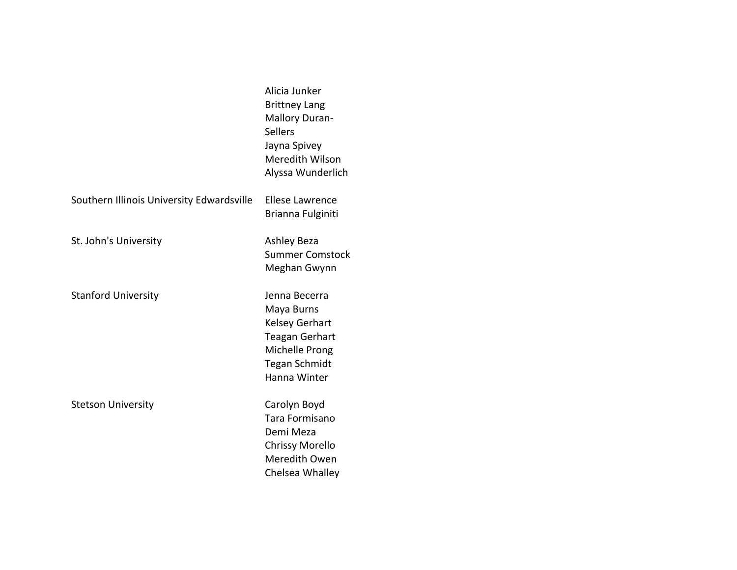|                                           | Alicia Junker<br><b>Brittney Lang</b><br><b>Mallory Duran-</b><br><b>Sellers</b><br>Jayna Spivey<br>Meredith Wilson<br>Alyssa Wunderlich |
|-------------------------------------------|------------------------------------------------------------------------------------------------------------------------------------------|
| Southern Illinois University Edwardsville | <b>Ellese Lawrence</b><br>Brianna Fulginiti                                                                                              |
| St. John's University                     | <b>Ashley Beza</b><br><b>Summer Comstock</b><br>Meghan Gwynn                                                                             |
| <b>Stanford University</b>                | Jenna Becerra<br>Maya Burns<br><b>Kelsey Gerhart</b><br><b>Teagan Gerhart</b><br>Michelle Prong<br><b>Tegan Schmidt</b><br>Hanna Winter  |
| <b>Stetson University</b>                 | Carolyn Boyd<br>Tara Formisano<br>Demi Meza<br><b>Chrissy Morello</b><br>Meredith Owen<br>Chelsea Whalley                                |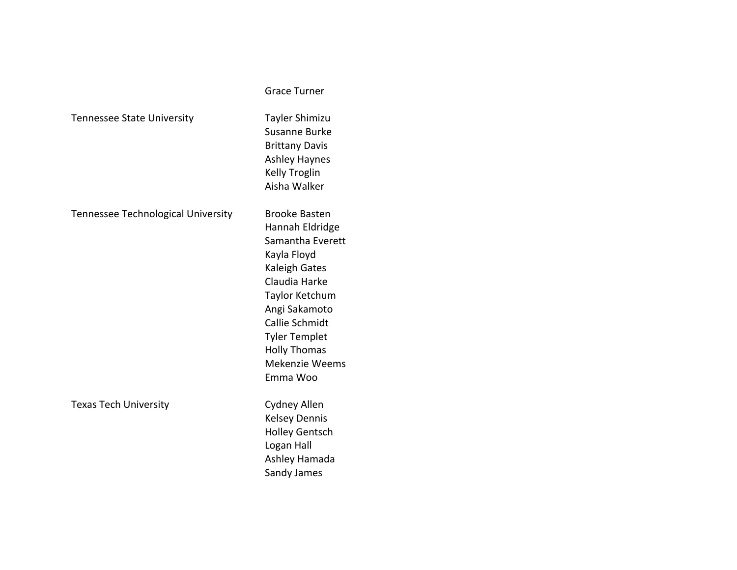|                                    | <b>Grace Turner</b>                                                                                                                                                                                                                                   |
|------------------------------------|-------------------------------------------------------------------------------------------------------------------------------------------------------------------------------------------------------------------------------------------------------|
| <b>Tennessee State University</b>  | <b>Tayler Shimizu</b><br>Susanne Burke<br><b>Brittany Davis</b><br><b>Ashley Haynes</b><br><b>Kelly Troglin</b><br>Aisha Walker                                                                                                                       |
| Tennessee Technological University | <b>Brooke Basten</b><br>Hannah Eldridge<br>Samantha Everett<br>Kayla Floyd<br>Kaleigh Gates<br>Claudia Harke<br>Taylor Ketchum<br>Angi Sakamoto<br>Callie Schmidt<br><b>Tyler Templet</b><br><b>Holly Thomas</b><br><b>Mekenzie Weems</b><br>Emma Woo |
| <b>Texas Tech University</b>       | Cydney Allen<br><b>Kelsey Dennis</b><br><b>Holley Gentsch</b><br>Logan Hall<br>Ashley Hamada<br>Sandy James                                                                                                                                           |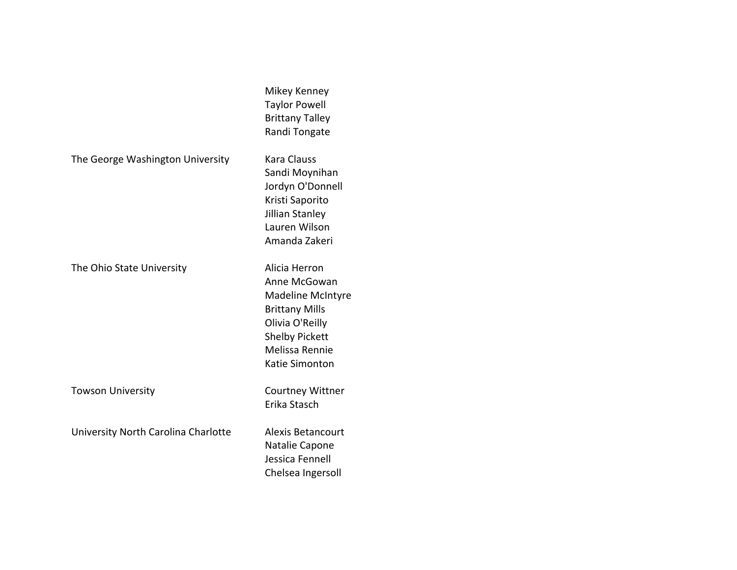|                                     | Mikey Kenney<br><b>Taylor Powell</b><br><b>Brittany Talley</b><br>Randi Tongate                                                                                    |
|-------------------------------------|--------------------------------------------------------------------------------------------------------------------------------------------------------------------|
| The George Washington University    | <b>Kara Clauss</b><br>Sandi Moynihan<br>Jordyn O'Donnell<br>Kristi Saporito<br>Jillian Stanley<br>Lauren Wilson<br>Amanda Zakeri                                   |
| The Ohio State University           | Alicia Herron<br>Anne McGowan<br><b>Madeline McIntyre</b><br><b>Brittany Mills</b><br>Olivia O'Reilly<br><b>Shelby Pickett</b><br>Melissa Rennie<br>Katie Simonton |
| <b>Towson University</b>            | <b>Courtney Wittner</b><br>Erika Stasch                                                                                                                            |
| University North Carolina Charlotte | <b>Alexis Betancourt</b><br>Natalie Capone<br>Jessica Fennell<br>Chelsea Ingersoll                                                                                 |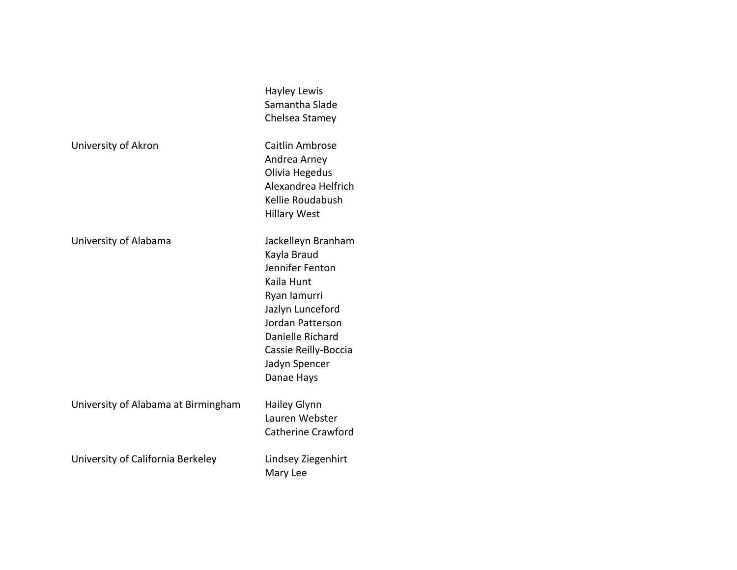|                                     | <b>Hayley Lewis</b><br>Samantha Slade<br>Chelsea Stamey                                                                                                                                               |
|-------------------------------------|-------------------------------------------------------------------------------------------------------------------------------------------------------------------------------------------------------|
| University of Akron                 | Caitlin Ambrose<br>Andrea Arney<br>Olivia Hegedus<br>Alexandrea Helfrich<br>Kellie Roudabush<br><b>Hillary West</b>                                                                                   |
| University of Alabama               | Jackelleyn Branham<br>Kayla Braud<br>Jennifer Fenton<br>Kaila Hunt<br>Ryan lamurri<br>Jazlyn Lunceford<br>Jordan Patterson<br>Danielle Richard<br>Cassie Reilly-Boccia<br>Jadyn Spencer<br>Danae Hays |
| University of Alabama at Birmingham | <b>Hailey Glynn</b><br>Lauren Webster<br><b>Catherine Crawford</b>                                                                                                                                    |
| University of California Berkeley   | Lindsey Ziegenhirt<br>Mary Lee                                                                                                                                                                        |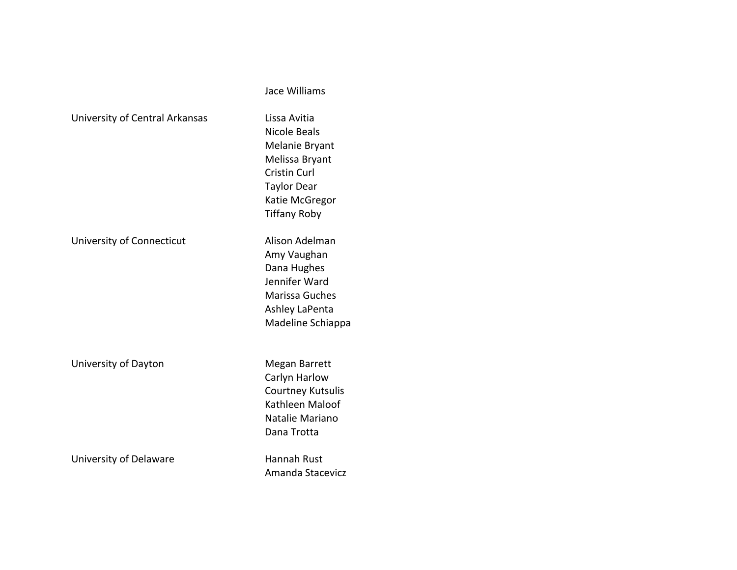|                                | Jace Williams                                                                                                                                          |
|--------------------------------|--------------------------------------------------------------------------------------------------------------------------------------------------------|
| University of Central Arkansas | Lissa Avitia<br>Nicole Beals<br>Melanie Bryant<br>Melissa Bryant<br><b>Cristin Curl</b><br><b>Taylor Dear</b><br>Katie McGregor<br><b>Tiffany Roby</b> |
| University of Connecticut      | Alison Adelman<br>Amy Vaughan<br>Dana Hughes<br>Jennifer Ward<br>Marissa Guches<br>Ashley LaPenta<br>Madeline Schiappa                                 |
| University of Dayton           | Megan Barrett<br>Carlyn Harlow<br><b>Courtney Kutsulis</b><br>Kathleen Maloof<br>Natalie Mariano<br>Dana Trotta                                        |
| University of Delaware         | Hannah Rust<br>Amanda Stacevicz                                                                                                                        |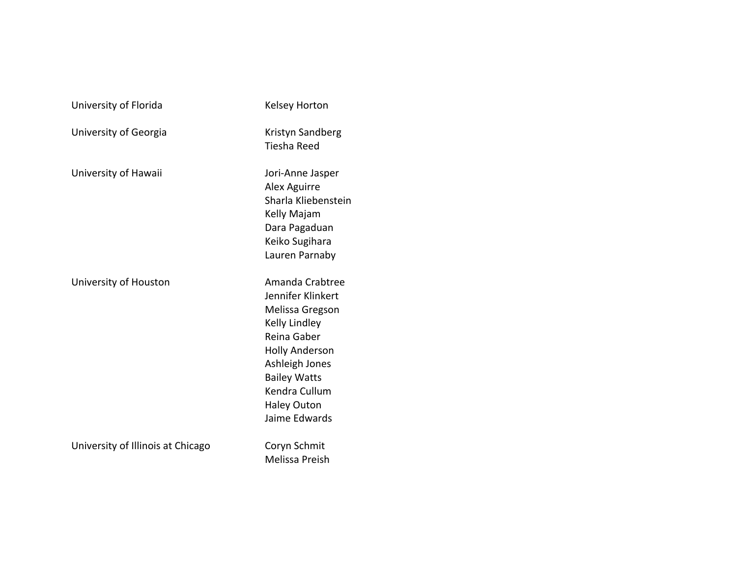| University of Florida             | Kelsey Horton                                                                                                                                                                                                     |
|-----------------------------------|-------------------------------------------------------------------------------------------------------------------------------------------------------------------------------------------------------------------|
| University of Georgia             | Kristyn Sandberg<br><b>Tiesha Reed</b>                                                                                                                                                                            |
| University of Hawaii              | Jori-Anne Jasper<br>Alex Aguirre<br>Sharla Kliebenstein<br>Kelly Majam<br>Dara Pagaduan<br>Keiko Sugihara<br>Lauren Parnaby                                                                                       |
| University of Houston             | Amanda Crabtree<br>Jennifer Klinkert<br>Melissa Gregson<br>Kelly Lindley<br>Reina Gaber<br><b>Holly Anderson</b><br>Ashleigh Jones<br><b>Bailey Watts</b><br>Kendra Cullum<br><b>Haley Outon</b><br>Jaime Edwards |
| University of Illinois at Chicago | Coryn Schmit<br>Melissa Preish                                                                                                                                                                                    |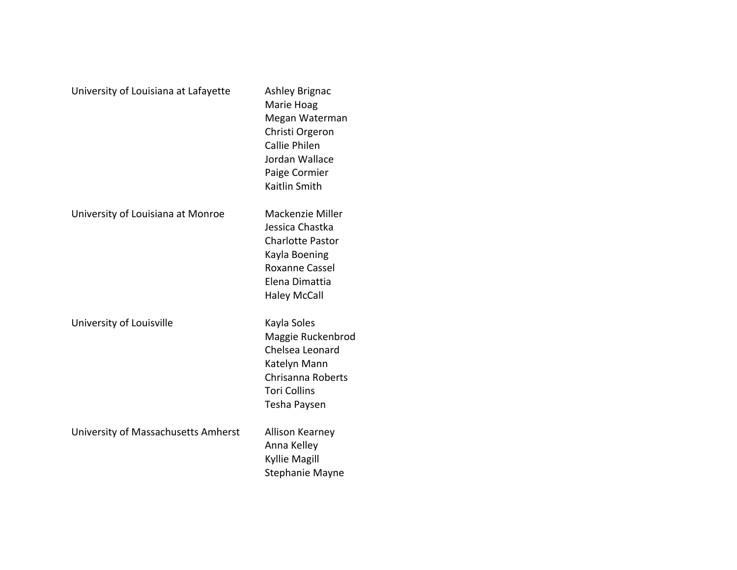| University of Louisiana at Lafayette | <b>Ashley Brignac</b><br>Marie Hoag<br>Megan Waterman<br>Christi Orgeron<br><b>Callie Philen</b><br>Jordan Wallace<br>Paige Cormier<br>Kaitlin Smith |
|--------------------------------------|------------------------------------------------------------------------------------------------------------------------------------------------------|
| University of Louisiana at Monroe    | Mackenzie Miller<br>Jessica Chastka<br><b>Charlotte Pastor</b><br>Kayla Boening<br><b>Roxanne Cassel</b><br>Elena Dimattia<br><b>Haley McCall</b>    |
| University of Louisville             | Kayla Soles<br>Maggie Ruckenbrod<br>Chelsea Leonard<br>Katelyn Mann<br>Chrisanna Roberts<br><b>Tori Collins</b><br>Tesha Paysen                      |
| University of Massachusetts Amherst  | Allison Kearney<br>Anna Kelley<br><b>Kyllie Magill</b><br><b>Stephanie Mayne</b>                                                                     |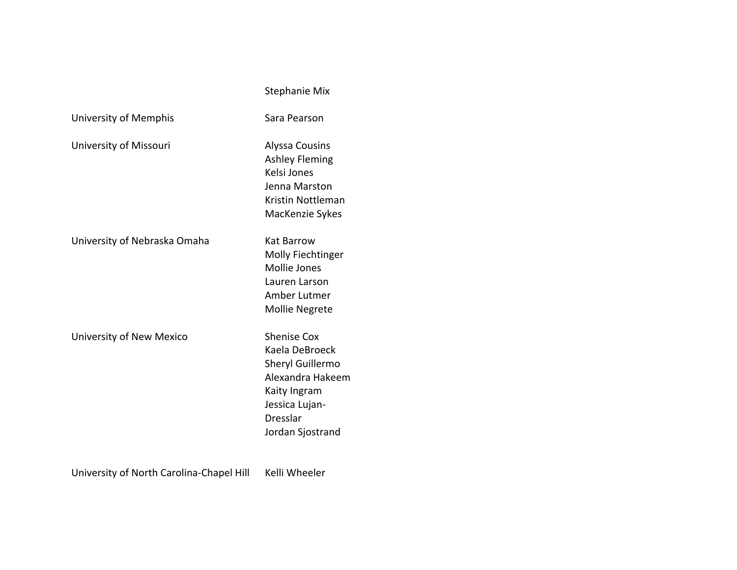|                              | <b>Stephanie Mix</b>                                                                                                                           |
|------------------------------|------------------------------------------------------------------------------------------------------------------------------------------------|
| University of Memphis        | Sara Pearson                                                                                                                                   |
| University of Missouri       | <b>Alyssa Cousins</b><br><b>Ashley Fleming</b><br>Kelsi Jones<br>Jenna Marston<br>Kristin Nottleman<br>MacKenzie Sykes                         |
| University of Nebraska Omaha | Kat Barrow<br>Molly Fiechtinger<br><b>Mollie Jones</b><br>Lauren Larson<br>Amber Lutmer<br><b>Mollie Negrete</b>                               |
| University of New Mexico     | <b>Shenise Cox</b><br>Kaela DeBroeck<br>Sheryl Guillermo<br>Alexandra Hakeem<br>Kaity Ingram<br>Jessica Lujan-<br>Dresslar<br>Jordan Sjostrand |

University of North Carolina-Chapel Hill Kelli Wheeler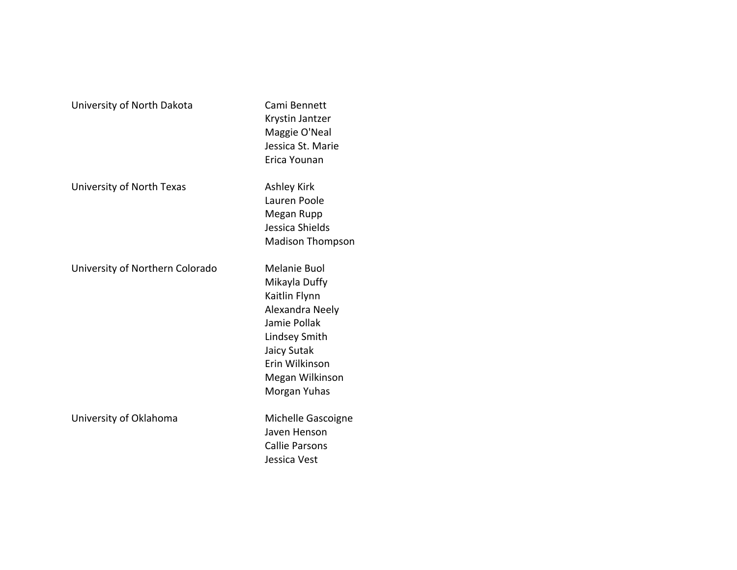| University of North Dakota      | Cami Bennett<br>Krystin Jantzer<br>Maggie O'Neal<br>Jessica St. Marie<br>Erica Younan                                                                                  |
|---------------------------------|------------------------------------------------------------------------------------------------------------------------------------------------------------------------|
| University of North Texas       | <b>Ashley Kirk</b><br>Lauren Poole<br>Megan Rupp<br>Jessica Shields<br><b>Madison Thompson</b>                                                                         |
| University of Northern Colorado | Melanie Buol<br>Mikayla Duffy<br>Kaitlin Flynn<br>Alexandra Neely<br>Jamie Pollak<br>Lindsey Smith<br>Jaicy Sutak<br>Erin Wilkinson<br>Megan Wilkinson<br>Morgan Yuhas |
| University of Oklahoma          | Michelle Gascoigne<br>Javen Henson<br><b>Callie Parsons</b><br>Jessica Vest                                                                                            |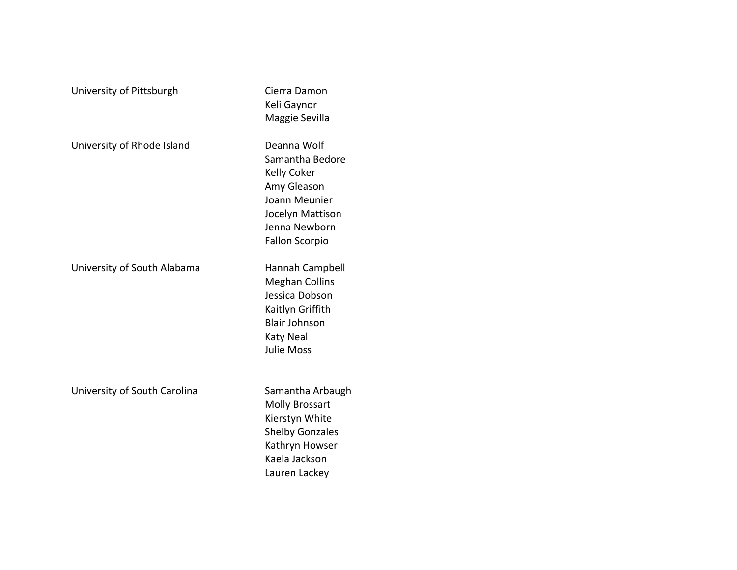| University of Pittsburgh     | Cierra Damon<br>Keli Gaynor<br>Maggie Sevilla                                                                                                   |
|------------------------------|-------------------------------------------------------------------------------------------------------------------------------------------------|
| University of Rhode Island   | Deanna Wolf<br>Samantha Bedore<br>Kelly Coker<br>Amy Gleason<br>Joann Meunier<br>Jocelyn Mattison<br>Jenna Newborn<br><b>Fallon Scorpio</b>     |
| University of South Alabama  | Hannah Campbell<br><b>Meghan Collins</b><br>Jessica Dobson<br>Kaitlyn Griffith<br><b>Blair Johnson</b><br><b>Katy Neal</b><br><b>Julie Moss</b> |
| University of South Carolina | Samantha Arbaugh<br><b>Molly Brossart</b><br>Kierstyn White<br><b>Shelby Gonzales</b><br>Kathryn Howser<br>Kaela Jackson<br>Lauren Lackey       |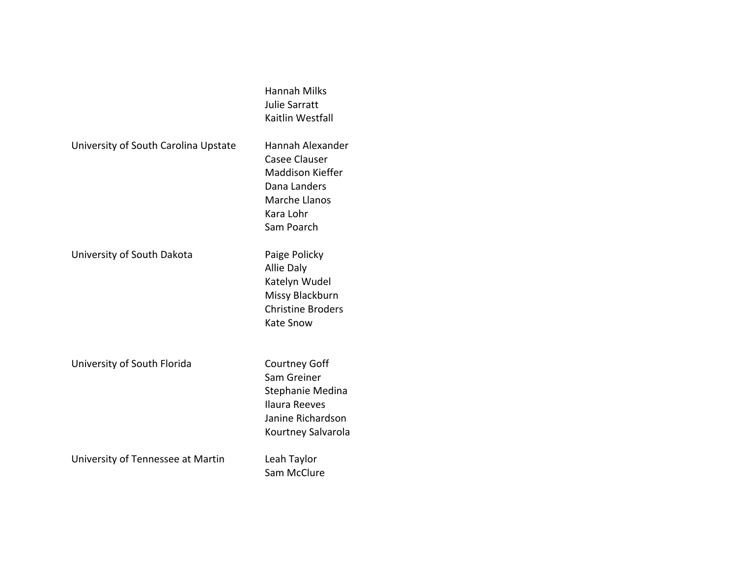|                                      | <b>Hannah Milks</b><br>Julie Sarratt<br>Kaitlin Westfall                                                                        |
|--------------------------------------|---------------------------------------------------------------------------------------------------------------------------------|
| University of South Carolina Upstate | Hannah Alexander<br><b>Casee Clauser</b><br>Maddison Kieffer<br>Dana Landers<br><b>Marche Llanos</b><br>Kara Lohr<br>Sam Poarch |
| University of South Dakota           | Paige Policky<br>Allie Daly<br>Katelyn Wudel<br>Missy Blackburn<br><b>Christine Broders</b><br><b>Kate Snow</b>                 |
| University of South Florida          | <b>Courtney Goff</b><br>Sam Greiner<br>Stephanie Medina<br>Ilaura Reeves<br>Janine Richardson<br>Kourtney Salvarola             |
| University of Tennessee at Martin    | Leah Taylor<br>Sam McClure                                                                                                      |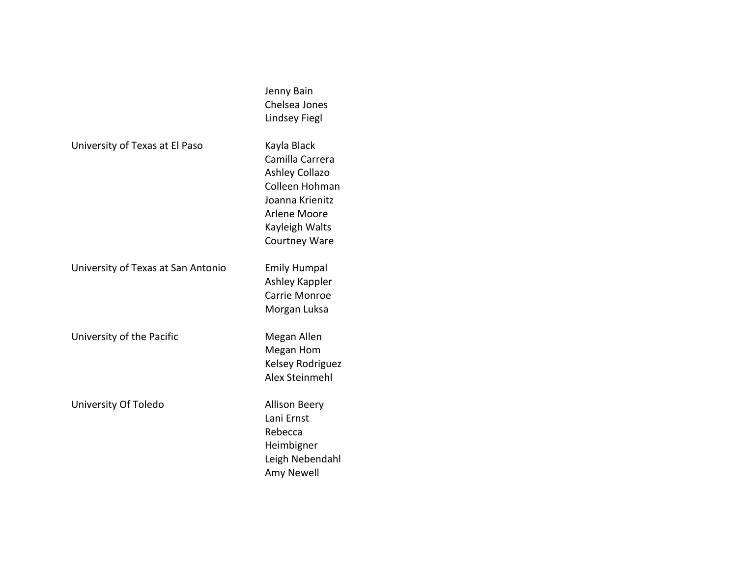|                                    | Jenny Bain<br>Chelsea Jones<br><b>Lindsey Fiegl</b>                                                                                             |
|------------------------------------|-------------------------------------------------------------------------------------------------------------------------------------------------|
| University of Texas at El Paso     | Kayla Black<br>Camilla Carrera<br>Ashley Collazo<br>Colleen Hohman<br>Joanna Krienitz<br>Arlene Moore<br>Kayleigh Walts<br><b>Courtney Ware</b> |
| University of Texas at San Antonio | <b>Emily Humpal</b><br>Ashley Kappler<br>Carrie Monroe<br>Morgan Luksa                                                                          |
| University of the Pacific          | Megan Allen<br>Megan Hom<br>Kelsey Rodriguez<br>Alex Steinmehl                                                                                  |
| University Of Toledo               | <b>Allison Beery</b><br>Lani Ernst<br>Rebecca<br>Heimbigner<br>Leigh Nebendahl<br>Amy Newell                                                    |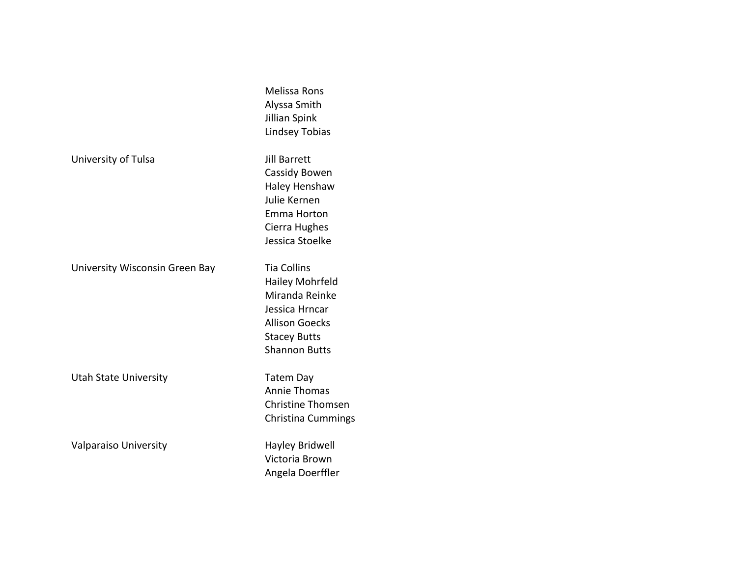|                                | <b>Melissa Rons</b><br>Alyssa Smith<br>Jillian Spink<br><b>Lindsey Tobias</b>                                                                     |
|--------------------------------|---------------------------------------------------------------------------------------------------------------------------------------------------|
| University of Tulsa            | Jill Barrett<br>Cassidy Bowen<br>Haley Henshaw<br>Julie Kernen<br>Emma Horton<br>Cierra Hughes<br>Jessica Stoelke                                 |
| University Wisconsin Green Bay | <b>Tia Collins</b><br>Hailey Mohrfeld<br>Miranda Reinke<br>Jessica Hrncar<br><b>Allison Goecks</b><br><b>Stacey Butts</b><br><b>Shannon Butts</b> |
| <b>Utah State University</b>   | <b>Tatem Day</b><br><b>Annie Thomas</b><br><b>Christine Thomsen</b><br><b>Christina Cummings</b>                                                  |
| Valparaiso University          | Hayley Bridwell<br>Victoria Brown<br>Angela Doerffler                                                                                             |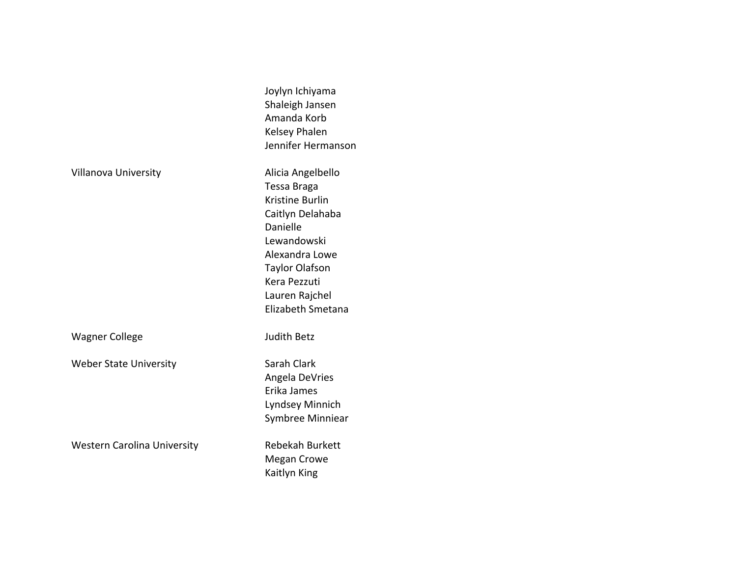|                                    | Joylyn Ichiyama<br>Shaleigh Jansen<br>Amanda Korb<br>Kelsey Phalen<br>Jennifer Hermanson                                                                                                             |
|------------------------------------|------------------------------------------------------------------------------------------------------------------------------------------------------------------------------------------------------|
| Villanova University               | Alicia Angelbello<br>Tessa Braga<br>Kristine Burlin<br>Caitlyn Delahaba<br>Danielle<br>Lewandowski<br>Alexandra Lowe<br><b>Taylor Olafson</b><br>Kera Pezzuti<br>Lauren Rajchel<br>Elizabeth Smetana |
| <b>Wagner College</b>              | <b>Judith Betz</b>                                                                                                                                                                                   |
| <b>Weber State University</b>      | Sarah Clark<br>Angela DeVries<br>Erika James<br>Lyndsey Minnich<br>Symbree Minniear                                                                                                                  |
| <b>Western Carolina University</b> | <b>Rebekah Burkett</b><br><b>Megan Crowe</b><br>Kaitlyn King                                                                                                                                         |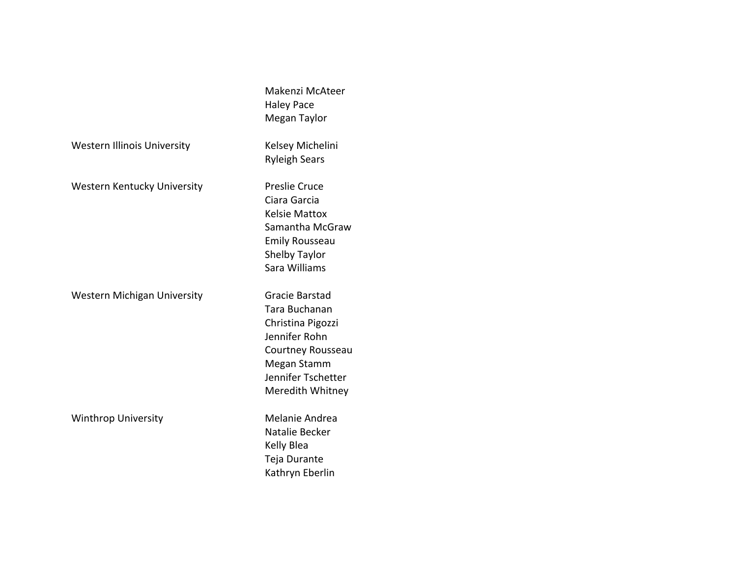|                                    | Makenzi McAteer<br><b>Haley Pace</b> |
|------------------------------------|--------------------------------------|
|                                    | Megan Taylor                         |
| <b>Western Illinois University</b> | Kelsey Michelini                     |
|                                    | <b>Ryleigh Sears</b>                 |
| <b>Western Kentucky University</b> | <b>Preslie Cruce</b>                 |
|                                    | Ciara Garcia                         |
|                                    | <b>Kelsie Mattox</b>                 |
|                                    | Samantha McGraw                      |
|                                    | <b>Emily Rousseau</b>                |
|                                    | Shelby Taylor                        |
|                                    | Sara Williams                        |
| <b>Western Michigan University</b> | Gracie Barstad                       |
|                                    | Tara Buchanan                        |
|                                    | Christina Pigozzi                    |
|                                    | Jennifer Rohn                        |
|                                    | Courtney Rousseau                    |
|                                    | Megan Stamm                          |
|                                    | Jennifer Tschetter                   |
|                                    | Meredith Whitney                     |
| <b>Winthrop University</b>         | Melanie Andrea                       |
|                                    | Natalie Becker                       |
|                                    | Kelly Blea                           |
|                                    | Teja Durante                         |
|                                    | Kathryn Eberlin                      |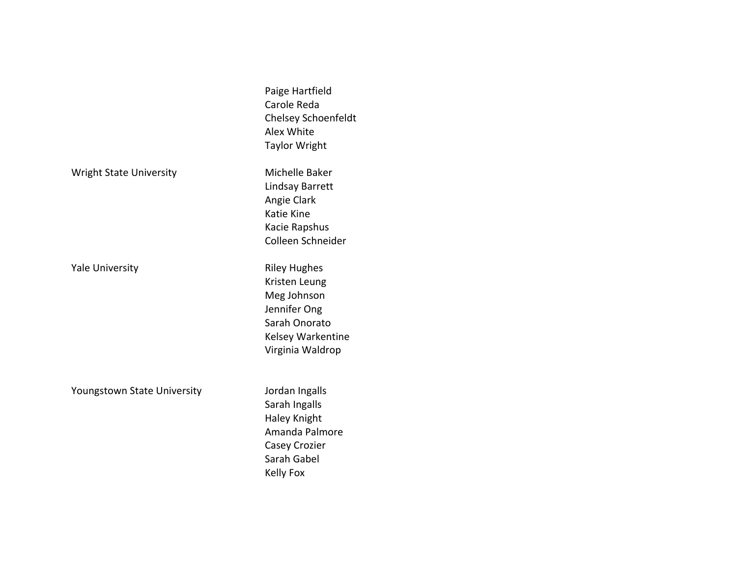|                                | Paige Hartfield<br>Carole Reda<br>Chelsey Schoenfeldt<br>Alex White<br><b>Taylor Wright</b>                                   |
|--------------------------------|-------------------------------------------------------------------------------------------------------------------------------|
| <b>Wright State University</b> | Michelle Baker<br>Lindsay Barrett<br>Angie Clark<br>Katie Kine<br>Kacie Rapshus<br>Colleen Schneider                          |
| <b>Yale University</b>         | <b>Riley Hughes</b><br>Kristen Leung<br>Meg Johnson<br>Jennifer Ong<br>Sarah Onorato<br>Kelsey Warkentine<br>Virginia Waldrop |
| Youngstown State University    | Jordan Ingalls<br>Sarah Ingalls<br>Haley Knight<br>Amanda Palmore<br><b>Casey Crozier</b><br>Sarah Gabel<br><b>Kelly Fox</b>  |